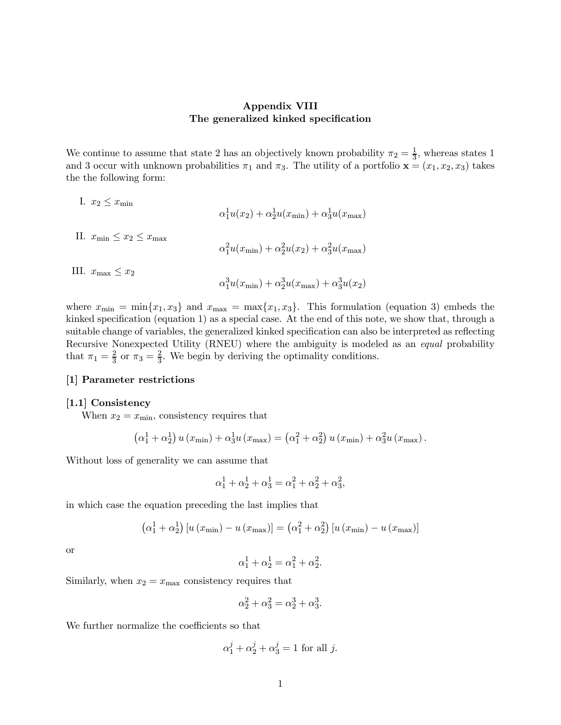### Appendix VIII The generalized kinked specification

We continue to assume that state 2 has an objectively known probability  $\pi_2 = \frac{1}{3}$ , whereas states 1 and 3 occur with unknown probabilities  $\pi_1$  and  $\pi_3$ . The utility of a portfolio  $\mathbf{x} = (x_1, x_2, x_3)$  takes the the following form:

I. 
$$
x_2 \le x_{\min}
$$
  
\n
$$
\alpha_1^1 u(x_2) + \alpha_2^1 u(x_{\min}) + \alpha_3^1 u(x_{\max})
$$
\nII.  $x_{\min} \le x_2 \le x_{\max}$   
\n
$$
\alpha_1^2 u(x_{\min}) + \alpha_2^2 u(x_2) + \alpha_3^2 u(x_{\max})
$$
\nIII.  $x_{\max} \le x_2$   
\n
$$
\alpha_1^3 u(x_{\min}) + \alpha_2^3 u(x_{\max}) + \alpha_3^3 u(x_2)
$$

where  $x_{\min} = \min\{x_1, x_3\}$  and  $x_{\max} = \max\{x_1, x_3\}$ . This formulation (equation 3) embeds the kinked specification (equation 1) as a special case. At the end of this note, we show that, through a suitable change of variables, the generalized kinked specification can also be interpreted as reflecting Recursive Nonexpected Utility (RNEU) where the ambiguity is modeled as an equal probability that  $\pi_1 = \frac{2}{3}$  or  $\pi_3 = \frac{2}{3}$ . We begin by deriving the optimality conditions.

### [1] Parameter restrictions

### [1.1] Consistency

When  $x_2 = x_{\text{min}}$ , consistency requires that

$$
\left(\alpha_1^1 + \alpha_2^1\right) u\left(x_{\min}\right) + \alpha_3^1 u\left(x_{\max}\right) = \left(\alpha_1^2 + \alpha_2^2\right) u\left(x_{\min}\right) + \alpha_3^2 u\left(x_{\max}\right).
$$

Without loss of generality we can assume that

$$
\alpha_1^1 + \alpha_2^1 + \alpha_3^1 = \alpha_1^2 + \alpha_2^2 + \alpha_3^2,
$$

in which case the equation preceding the last implies that

$$
\left(\alpha_1^1 + \alpha_2^1\right) \left[u\left(x_{\min}\right) - u\left(x_{\max}\right)\right] = \left(\alpha_1^2 + \alpha_2^2\right) \left[u\left(x_{\min}\right) - u\left(x_{\max}\right)\right]
$$

or

$$
\alpha_1^1 + \alpha_2^1 = \alpha_1^2 + \alpha_2^2.
$$

Similarly, when  $x_2 = x_{\text{max}}$  consistency requires that

$$
\alpha_2^2+\alpha_3^2=\alpha_2^3+\alpha_3^3.
$$

We further normalize the coefficients so that

$$
\alpha_1^j + \alpha_2^j + \alpha_3^j = 1
$$
 for all j.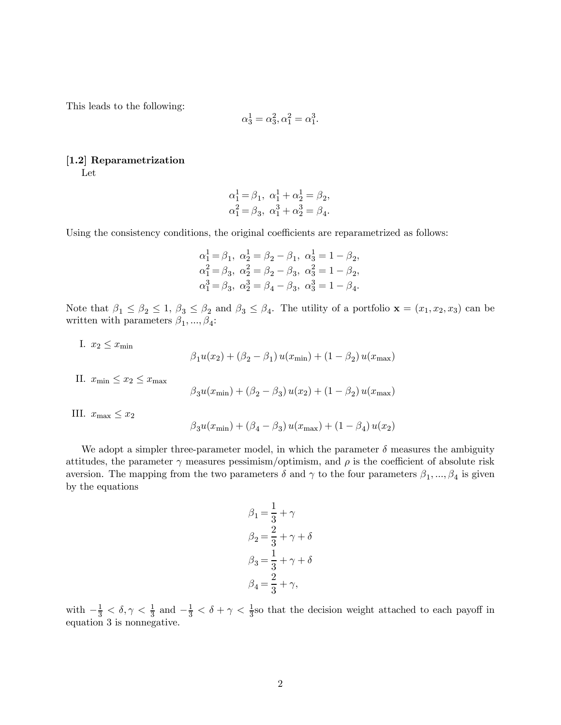This leads to the following:

$$
\alpha_3^1 = \alpha_3^2, \alpha_1^2 = \alpha_1^3.
$$

## [1.2] Reparametrization

Let

$$
\begin{gathered}\alpha_1^1 = \beta_1,\ \alpha_1^1 + \alpha_2^1 = \beta_2,\\ \alpha_1^2 = \beta_3,\ \alpha_1^3 + \alpha_2^3 = \beta_4.\end{gathered}
$$

Using the consistency conditions, the original coefficients are reparametrized as follows:

$$
\alpha_1^1 = \beta_1, \ \alpha_2^1 = \beta_2 - \beta_1, \ \alpha_3^1 = 1 - \beta_2,
$$
  
\n $\alpha_1^2 = \beta_3, \ \alpha_2^2 = \beta_2 - \beta_3, \ \alpha_3^2 = 1 - \beta_2,$   
\n $\alpha_1^3 = \beta_3, \ \alpha_2^3 = \beta_4 - \beta_3, \ \alpha_3^3 = 1 - \beta_4.$ 

Note that  $\beta_1 \le \beta_2 \le 1$ ,  $\beta_3 \le \beta_2$  and  $\beta_3 \le \beta_4$ . The utility of a portfolio  $\mathbf{x} = (x_1, x_2, x_3)$  can be written with parameters  $\beta_1, ..., \beta_4$ :

I.  $x_2 \leq x_{\min}$ 

$$
\beta_1 u(x_2) + (\beta_2 - \beta_1) u(x_{\min}) + (1 - \beta_2) u(x_{\max})
$$

II.  $x_{\min} \leq x_2 \leq x_{\max}$ 

$$
\beta_3 u(x_{\min})+(\beta_2-\beta_3)\,u(x_2)+(1-\beta_2)\,u(x_{\max})
$$

III.  $x_{\text{max}} \leq x_2$ 

$$
\beta_3 u(x_{\min}) + (\beta_4 - \beta_3) u(x_{\max}) + (1 - \beta_4) u(x_2)
$$

We adopt a simpler three-parameter model, in which the parameter  $\delta$  measures the ambiguity attitudes, the parameter  $\gamma$  measures pessimism/optimism, and  $\rho$  is the coefficient of absolute risk aversion. The mapping from the two parameters  $\delta$  and  $\gamma$  to the four parameters  $\beta_1, ..., \beta_4$  is given by the equations

$$
\beta_1 = \frac{1}{3} + \gamma
$$
  
\n
$$
\beta_2 = \frac{2}{3} + \gamma + \delta
$$
  
\n
$$
\beta_3 = \frac{1}{3} + \gamma + \delta
$$
  
\n
$$
\beta_4 = \frac{2}{3} + \gamma,
$$

with  $-\frac{1}{3} < \delta, \gamma < \frac{1}{3}$  and  $-\frac{1}{3} < \delta + \gamma < \frac{1}{3}$  so that the decision weight attached to each payoff in equation 3 is nonnegative.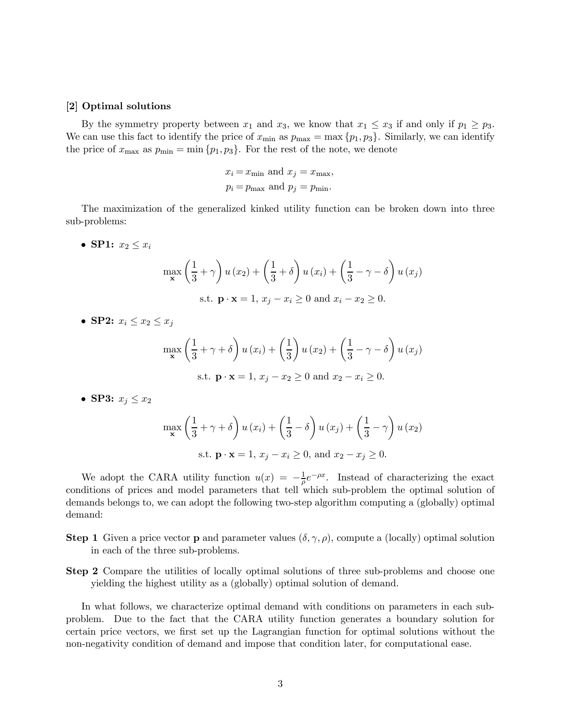#### [2] Optimal solutions

By the symmetry property between  $x_1$  and  $x_3$ , we know that  $x_1 \le x_3$  if and only if  $p_1 \ge p_3$ . We can use this fact to identify the price of  $x_{\min}$  as  $p_{\max} = \max\{p_1, p_3\}$ . Similarly, we can identify the price of  $x_{\text{max}}$  as  $p_{\text{min}} = \min \{p_1, p_3\}$ . For the rest of the note, we denote

$$
x_i = x_{\text{min}}
$$
 and  $x_j = x_{\text{max}}$ ,  
 $p_i = p_{\text{max}}$  and  $p_j = p_{\text{min}}$ .

The maximization of the generalized kinked utility function can be broken down into three sub-problems:

• SP1:  $x_2 \leq x_i$ 

$$
\max_{\mathbf{x}} \left( \frac{1}{3} + \gamma \right) u(x_2) + \left( \frac{1}{3} + \delta \right) u(x_i) + \left( \frac{1}{3} - \gamma - \delta \right) u(x_j)
$$
  
s.t.  $\mathbf{p} \cdot \mathbf{x} = 1, x_j - x_i \ge 0$  and  $x_i - x_2 \ge 0$ .

• SP2:  $x_i \leq x_2 \leq x_j$ 

$$
\max_{\mathbf{x}} \left( \frac{1}{3} + \gamma + \delta \right) u(x_i) + \left( \frac{1}{3} \right) u(x_2) + \left( \frac{1}{3} - \gamma - \delta \right) u(x_j)
$$
  
s.t.  $\mathbf{p} \cdot \mathbf{x} = 1, x_j - x_2 \ge 0$  and  $x_2 - x_i \ge 0$ .

• SP3:  $x_j \leq x_2$ 

$$
\max_{\mathbf{x}} \left( \frac{1}{3} + \gamma + \delta \right) u(x_i) + \left( \frac{1}{3} - \delta \right) u(x_j) + \left( \frac{1}{3} - \gamma \right) u(x_2)
$$
  
s.t.  $\mathbf{p} \cdot \mathbf{x} = 1, x_j - x_i \ge 0$ , and  $x_2 - x_j \ge 0$ .

We adopt the CARA utility function  $u(x) = -\frac{1}{\rho}e^{-\rho x}$ . Instead of characterizing the exact conditions of prices and model parameters that tell which sub-problem the optimal solution of demands belongs to, we can adopt the following two-step algorithm computing a (globally) optimal demand:

- **Step 1** Given a price vector **p** and parameter values  $(\delta, \gamma, \rho)$ , compute a (locally) optimal solution in each of the three sub-problems.
- Step 2 Compare the utilities of locally optimal solutions of three sub-problems and choose one yielding the highest utility as a (globally) optimal solution of demand.

In what follows, we characterize optimal demand with conditions on parameters in each subproblem. Due to the fact that the CARA utility function generates a boundary solution for certain price vectors, we first set up the Lagrangian function for optimal solutions without the non-negativity condition of demand and impose that condition later, for computational ease.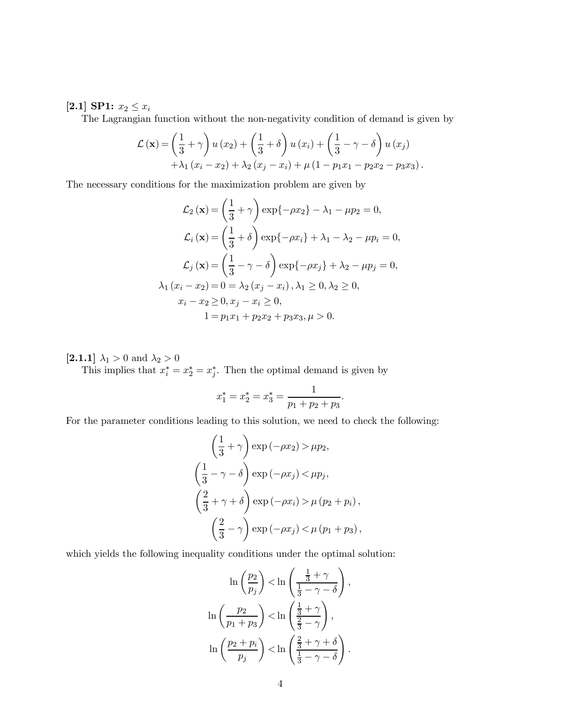## [2.1] SP1:  $x_2 \leq x_i$

The Lagrangian function without the non-negativity condition of demand is given by

$$
\mathcal{L}(\mathbf{x}) = \left(\frac{1}{3} + \gamma\right)u(x_2) + \left(\frac{1}{3} + \delta\right)u(x_i) + \left(\frac{1}{3} - \gamma - \delta\right)u(x_j) + \lambda_1(x_i - x_2) + \lambda_2(x_j - x_i) + \mu(1 - p_1x_1 - p_2x_2 - p_3x_3).
$$

The necessary conditions for the maximization problem are given by

$$
\mathcal{L}_2(\mathbf{x}) = \left(\frac{1}{3} + \gamma\right) \exp\{-\rho x_2\} - \lambda_1 - \mu p_2 = 0,
$$
  

$$
\mathcal{L}_i(\mathbf{x}) = \left(\frac{1}{3} + \delta\right) \exp\{-\rho x_i\} + \lambda_1 - \lambda_2 - \mu p_i = 0,
$$
  

$$
\mathcal{L}_j(\mathbf{x}) = \left(\frac{1}{3} - \gamma - \delta\right) \exp\{-\rho x_j\} + \lambda_2 - \mu p_j = 0,
$$
  

$$
\lambda_1 (x_i - x_2) = 0 = \lambda_2 (x_j - x_i), \lambda_1 \ge 0, \lambda_2 \ge 0,
$$
  

$$
x_i - x_2 \ge 0, x_j - x_i \ge 0,
$$
  

$$
1 = p_1 x_1 + p_2 x_2 + p_3 x_3, \mu > 0.
$$

[2.1.1]  $\lambda_1 > 0$  and  $\lambda_2 > 0$ 

This implies that  $x_i^* = x_2^* = x_j^*$ . Then the optimal demand is given by

$$
x_1^* = x_2^* = x_3^* = \frac{1}{p_1 + p_2 + p_3}.
$$

For the parameter conditions leading to this solution, we need to check the following:

$$
\left(\frac{1}{3} + \gamma\right) \exp\left(-\rho x_2\right) > \mu p_2,
$$
  

$$
\left(\frac{1}{3} - \gamma - \delta\right) \exp\left(-\rho x_j\right) < \mu p_j,
$$
  

$$
\left(\frac{2}{3} + \gamma + \delta\right) \exp\left(-\rho x_i\right) > \mu (p_2 + p_i),
$$
  

$$
\left(\frac{2}{3} - \gamma\right) \exp\left(-\rho x_j\right) < \mu (p_1 + p_3),
$$

which yields the following inequality conditions under the optimal solution:

$$
\ln\left(\frac{p_2}{p_j}\right) < \ln\left(\frac{\frac{1}{3} + \gamma}{\frac{1}{3} - \gamma - \delta}\right),
$$
\n
$$
\ln\left(\frac{p_2}{p_1 + p_3}\right) < \ln\left(\frac{\frac{1}{3} + \gamma}{\frac{2}{3} - \gamma}\right),
$$
\n
$$
\ln\left(\frac{p_2 + p_i}{p_j}\right) < \ln\left(\frac{\frac{2}{3} + \gamma + \delta}{\frac{1}{3} - \gamma - \delta}\right).
$$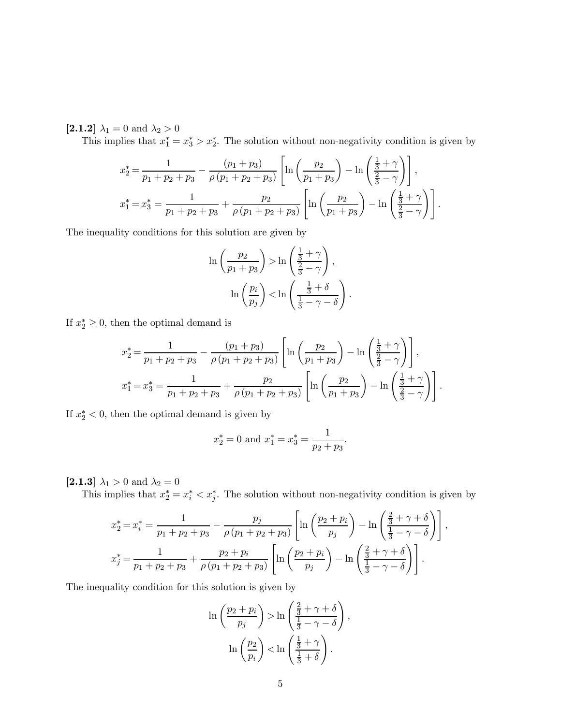[2.1.2]  $\lambda_1 = 0$  and  $\lambda_2 > 0$ 

This implies that  $x_1^* = x_3^* > x_2^*$ . The solution without non-negativity condition is given by

$$
x_2^* = \frac{1}{p_1 + p_2 + p_3} - \frac{(p_1 + p_3)}{\rho(p_1 + p_2 + p_3)} \left[ \ln \left( \frac{p_2}{p_1 + p_3} \right) - \ln \left( \frac{\frac{1}{3} + \gamma}{\frac{2}{3} - \gamma} \right) \right],
$$
  

$$
x_1^* = x_3^* = \frac{1}{p_1 + p_2 + p_3} + \frac{p_2}{\rho(p_1 + p_2 + p_3)} \left[ \ln \left( \frac{p_2}{p_1 + p_3} \right) - \ln \left( \frac{\frac{1}{3} + \gamma}{\frac{2}{3} - \gamma} \right) \right].
$$

The inequality conditions for this solution are given by

$$
\ln\left(\frac{p_2}{p_1+p_3}\right) > \ln\left(\frac{\frac{1}{3}+\gamma}{\frac{2}{3}-\gamma}\right),\
$$

$$
\ln\left(\frac{p_i}{p_j}\right) < \ln\left(\frac{\frac{1}{3}+\delta}{\frac{1}{3}-\gamma-\delta}\right).
$$

If  $x_2^* \geq 0$ , then the optimal demand is

$$
x_2^* = \frac{1}{p_1 + p_2 + p_3} - \frac{(p_1 + p_3)}{\rho (p_1 + p_2 + p_3)} \left[ \ln \left( \frac{p_2}{p_1 + p_3} \right) - \ln \left( \frac{\frac{1}{3} + \gamma}{\frac{2}{3} - \gamma} \right) \right],
$$
  

$$
x_1^* = x_3^* = \frac{1}{p_1 + p_2 + p_3} + \frac{p_2}{\rho (p_1 + p_2 + p_3)} \left[ \ln \left( \frac{p_2}{p_1 + p_3} \right) - \ln \left( \frac{\frac{1}{3} + \gamma}{\frac{2}{3} - \gamma} \right) \right].
$$

If  $x_2^* < 0$ , then the optimal demand is given by

$$
x_2^* = 0
$$
 and  $x_1^* = x_3^* = \frac{1}{p_2 + p_3}$ .

[2.1.3]  $\lambda_1 > 0$  and  $\lambda_2 = 0$ 

This implies that  $x_2^* = x_i^* < x_j^*$ . The solution without non-negativity condition is given by

$$
x_2^* = x_i^* = \frac{1}{p_1 + p_2 + p_3} - \frac{p_j}{\rho(p_1 + p_2 + p_3)} \left[ \ln \left( \frac{p_2 + p_i}{p_j} \right) - \ln \left( \frac{\frac{2}{3} + \gamma + \delta}{\frac{1}{3} - \gamma - \delta} \right) \right],
$$
  

$$
x_j^* = \frac{1}{p_1 + p_2 + p_3} + \frac{p_2 + p_i}{\rho(p_1 + p_2 + p_3)} \left[ \ln \left( \frac{p_2 + p_i}{p_j} \right) - \ln \left( \frac{\frac{2}{3} + \gamma + \delta}{\frac{1}{3} - \gamma - \delta} \right) \right].
$$

The inequality condition for this solution is given by

$$
\ln\left(\frac{p_2+p_i}{p_j}\right) > \ln\left(\frac{\frac{2}{3}+\gamma+\delta}{\frac{1}{3}-\gamma-\delta}\right),\
$$

$$
\ln\left(\frac{p_2}{p_i}\right) < \ln\left(\frac{\frac{1}{3}+\gamma}{\frac{1}{3}+\delta}\right).
$$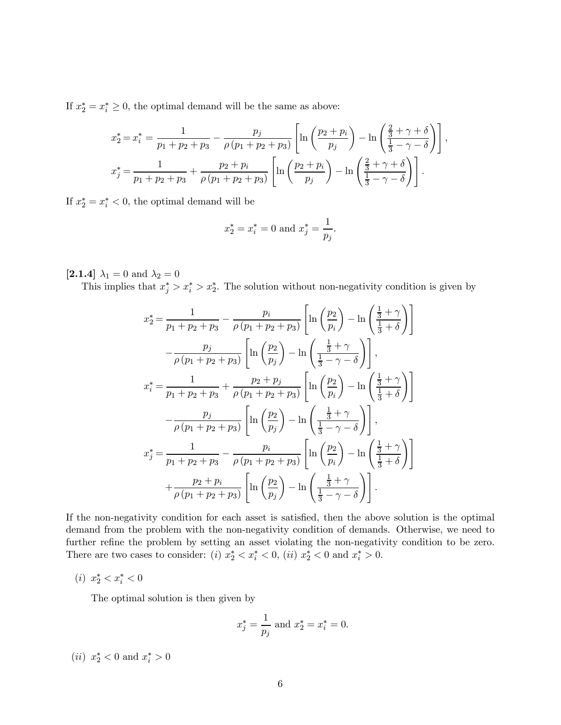If  $x_2^* = x_i^* \geq 0$ , the optimal demand will be the same as above:

$$
x_2^* = x_i^* = \frac{1}{p_1 + p_2 + p_3} - \frac{p_j}{\rho (p_1 + p_2 + p_3)} \left[ \ln \left( \frac{p_2 + p_i}{p_j} \right) - \ln \left( \frac{\frac{2}{3} + \gamma + \delta}{\frac{1}{3} - \gamma - \delta} \right) \right],
$$
  

$$
x_j^* = \frac{1}{p_1 + p_2 + p_3} + \frac{p_2 + p_i}{\rho (p_1 + p_2 + p_3)} \left[ \ln \left( \frac{p_2 + p_i}{p_j} \right) - \ln \left( \frac{\frac{2}{3} + \gamma + \delta}{\frac{1}{3} - \gamma - \delta} \right) \right].
$$

If  $x_2^* = x_i^* < 0$ , the optimal demand will be

$$
x_2^* = x_i^* = 0
$$
 and  $x_j^* = \frac{1}{p_j}$ .

[2.1.4]  $\lambda_1 = 0$  and  $\lambda_2 = 0$ 

This implies that  $x_j^* > x_i^* > x_2^*$ . The solution without non-negativity condition is given by

$$
x_2^* = \frac{1}{p_1 + p_2 + p_3} - \frac{p_i}{\rho(p_1 + p_2 + p_3)} \left[ \ln \left( \frac{p_2}{p_i} \right) - \ln \left( \frac{\frac{1}{3} + \gamma}{\frac{1}{3} + \delta} \right) \right]
$$

$$
- \frac{p_j}{\rho(p_1 + p_2 + p_3)} \left[ \ln \left( \frac{p_2}{p_j} \right) - \ln \left( \frac{\frac{1}{3} + \gamma}{\frac{1}{3} - \gamma - \delta} \right) \right],
$$

$$
x_i^* = \frac{1}{p_1 + p_2 + p_3} + \frac{p_2 + p_j}{\rho(p_1 + p_2 + p_3)} \left[ \ln \left( \frac{p_2}{p_i} \right) - \ln \left( \frac{\frac{1}{3} + \gamma}{\frac{1}{3} + \delta} \right) \right]
$$

$$
- \frac{p_j}{\rho(p_1 + p_2 + p_3)} \left[ \ln \left( \frac{p_2}{p_j} \right) - \ln \left( \frac{\frac{1}{3} + \gamma}{\frac{1}{3} - \gamma - \delta} \right) \right],
$$

$$
x_j^* = \frac{1}{p_1 + p_2 + p_3} - \frac{p_i}{\rho(p_1 + p_2 + p_3)} \left[ \ln \left( \frac{p_2}{p_i} \right) - \ln \left( \frac{\frac{1}{3} + \gamma}{\frac{1}{3} + \delta} \right) \right]
$$

$$
+ \frac{p_2 + p_i}{\rho(p_1 + p_2 + p_3)} \left[ \ln \left( \frac{p_2}{p_j} \right) - \ln \left( \frac{\frac{1}{3} + \gamma}{\frac{1}{3} - \gamma - \delta} \right) \right].
$$

If the non-negativity condition for each asset is satisfied, then the above solution is the optimal demand from the problem with the non-negativity condition of demands. Otherwise, we need to further refine the problem by setting an asset violating the non-negativity condition to be zero. There are two cases to consider: (*i*)  $x_2^* < x_i^* < 0$ , (*ii*)  $x_2^* < 0$  and  $x_i^* > 0$ .

(*i*)  $x_2^* < x_i^* < 0$ 

The optimal solution is then given by

$$
x_j^* = \frac{1}{p_j} \text{ and } x_2^* = x_i^* = 0.
$$

(*ii*)  $x_2^* < 0$  and  $x_i^* > 0$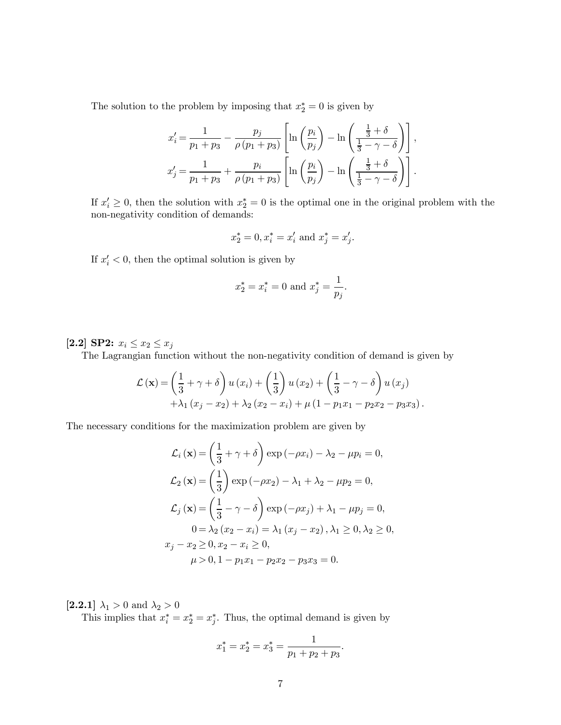The solution to the problem by imposing that  $x_2^* = 0$  is given by

$$
x'_{i} = \frac{1}{p_1 + p_3} - \frac{p_j}{\rho (p_1 + p_3)} \left[ \ln \left( \frac{p_i}{p_j} \right) - \ln \left( \frac{\frac{1}{3} + \delta}{\frac{1}{3} - \gamma - \delta} \right) \right],
$$
  

$$
x'_{j} = \frac{1}{p_1 + p_3} + \frac{p_i}{\rho (p_1 + p_3)} \left[ \ln \left( \frac{p_i}{p_j} \right) - \ln \left( \frac{\frac{1}{3} + \delta}{\frac{1}{3} - \gamma - \delta} \right) \right].
$$

If  $x'_i \geq 0$ , then the solution with  $x_2^* = 0$  is the optimal one in the original problem with the non-negativity condition of demands:

$$
x_2^* = 0, x_i^* = x_i'
$$
 and  $x_j^* = x_j'.$ 

If  $x_i' < 0$ , then the optimal solution is given by

$$
x_2^* = x_i^* = 0
$$
 and  $x_j^* = \frac{1}{p_j}$ .

# [2.2] SP2:  $x_i \le x_2 \le x_j$

The Lagrangian function without the non-negativity condition of demand is given by

$$
\mathcal{L}(\mathbf{x}) = \left(\frac{1}{3} + \gamma + \delta\right)u(x_i) + \left(\frac{1}{3}\right)u(x_2) + \left(\frac{1}{3} - \gamma - \delta\right)u(x_j) + \lambda_1(x_j - x_2) + \lambda_2(x_2 - x_i) + \mu(1 - p_1x_1 - p_2x_2 - p_3x_3).
$$

The necessary conditions for the maximization problem are given by

$$
\mathcal{L}_i(\mathbf{x}) = \left(\frac{1}{3} + \gamma + \delta\right) \exp\left(-\rho x_i\right) - \lambda_2 - \mu p_i = 0,
$$
  

$$
\mathcal{L}_2(\mathbf{x}) = \left(\frac{1}{3}\right) \exp\left(-\rho x_2\right) - \lambda_1 + \lambda_2 - \mu p_2 = 0,
$$
  

$$
\mathcal{L}_j(\mathbf{x}) = \left(\frac{1}{3} - \gamma - \delta\right) \exp\left(-\rho x_j\right) + \lambda_1 - \mu p_j = 0,
$$
  

$$
0 = \lambda_2 (x_2 - x_i) = \lambda_1 (x_j - x_2), \lambda_1 \ge 0, \lambda_2 \ge 0,
$$
  

$$
x_j - x_2 \ge 0, x_2 - x_i \ge 0,
$$
  

$$
\mu > 0, 1 - p_1 x_1 - p_2 x_2 - p_3 x_3 = 0.
$$

[2.2.1]  $\lambda_1 > 0$  and  $\lambda_2 > 0$ 

This implies that  $x_i^* = x_2^* = x_j^*$ . Thus, the optimal demand is given by

$$
x_1^* = x_2^* = x_3^* = \frac{1}{p_1 + p_2 + p_3}.
$$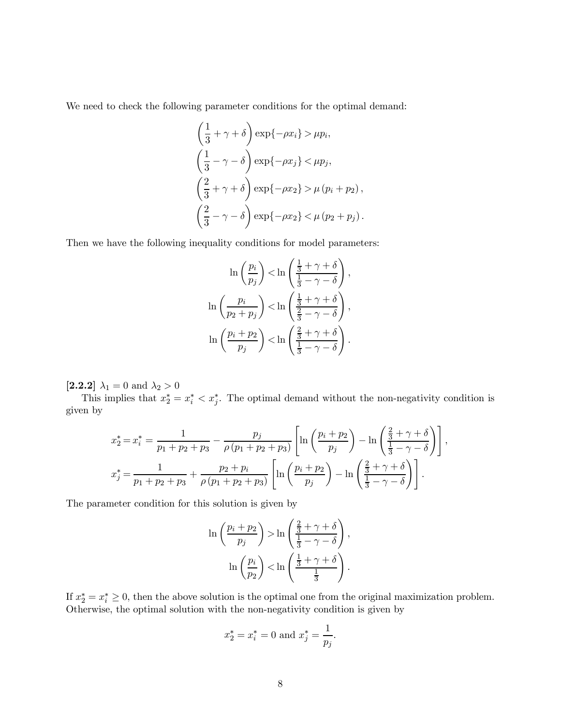We need to check the following parameter conditions for the optimal demand:

$$
\left(\frac{1}{3} + \gamma + \delta\right) \exp\{-\rho x_i\} > \mu p_i,
$$
  

$$
\left(\frac{1}{3} - \gamma - \delta\right) \exp\{-\rho x_j\} < \mu p_j,
$$
  

$$
\left(\frac{2}{3} + \gamma + \delta\right) \exp\{-\rho x_2\} > \mu (p_i + p_2),
$$
  

$$
\left(\frac{2}{3} - \gamma - \delta\right) \exp\{-\rho x_2\} < \mu (p_2 + p_j).
$$

Then we have the following inequality conditions for model parameters:

$$
\ln\left(\frac{p_i}{p_j}\right) < \ln\left(\frac{\frac{1}{3} + \gamma + \delta}{\frac{1}{3} - \gamma - \delta}\right),
$$
\n
$$
\ln\left(\frac{p_i}{p_2 + p_j}\right) < \ln\left(\frac{\frac{1}{3} + \gamma + \delta}{\frac{2}{3} - \gamma - \delta}\right),
$$
\n
$$
\ln\left(\frac{p_i + p_2}{p_j}\right) < \ln\left(\frac{\frac{2}{3} + \gamma + \delta}{\frac{1}{3} - \gamma - \delta}\right).
$$

[2.2.2]  $\lambda_1 = 0$  and  $\lambda_2 > 0$ 

This implies that  $x_2^* = x_i^* < x_j^*$ . The optimal demand without the non-negativity condition is given by

$$
x_2^* = x_i^* = \frac{1}{p_1 + p_2 + p_3} - \frac{p_j}{\rho (p_1 + p_2 + p_3)} \left[ \ln \left( \frac{p_i + p_2}{p_j} \right) - \ln \left( \frac{\frac{2}{3} + \gamma + \delta}{\frac{1}{3} - \gamma - \delta} \right) \right],
$$
  

$$
x_j^* = \frac{1}{p_1 + p_2 + p_3} + \frac{p_2 + p_i}{\rho (p_1 + p_2 + p_3)} \left[ \ln \left( \frac{p_i + p_2}{p_j} \right) - \ln \left( \frac{\frac{2}{3} + \gamma + \delta}{\frac{1}{3} - \gamma - \delta} \right) \right].
$$

The parameter condition for this solution is given by

$$
\ln\left(\frac{p_i+p_2}{p_j}\right) > \ln\left(\frac{\frac{2}{3}+\gamma+\delta}{\frac{1}{3}-\gamma-\delta}\right),\
$$

$$
\ln\left(\frac{p_i}{p_2}\right) < \ln\left(\frac{\frac{1}{3}+\gamma+\delta}{\frac{1}{3}}\right).
$$

If  $x_2^* = x_i^* \geq 0$ , then the above solution is the optimal one from the original maximization problem. Otherwise, the optimal solution with the non-negativity condition is given by

$$
x_2^* = x_i^* = 0
$$
 and  $x_j^* = \frac{1}{p_j}$ .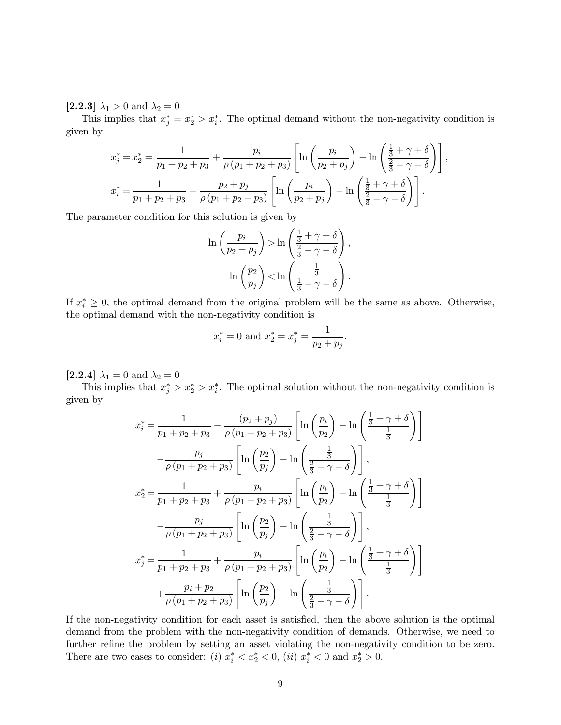[2.2.3]  $\lambda_1 > 0$  and  $\lambda_2 = 0$ 

This implies that  $x_j^* = x_2^* > x_i^*$ . The optimal demand without the non-negativity condition is given by

$$
x_j^* = x_2^* = \frac{1}{p_1 + p_2 + p_3} + \frac{p_i}{\rho(p_1 + p_2 + p_3)} \left[ \ln \left( \frac{p_i}{p_2 + p_j} \right) - \ln \left( \frac{\frac{1}{3} + \gamma + \delta}{\frac{2}{3} - \gamma - \delta} \right) \right],
$$
  

$$
x_i^* = \frac{1}{p_1 + p_2 + p_3} - \frac{p_2 + p_j}{\rho(p_1 + p_2 + p_3)} \left[ \ln \left( \frac{p_i}{p_2 + p_j} \right) - \ln \left( \frac{\frac{1}{3} + \gamma + \delta}{\frac{2}{3} - \gamma - \delta} \right) \right].
$$

The parameter condition for this solution is given by

$$
\ln\left(\frac{p_i}{p_2 + p_j}\right) > \ln\left(\frac{\frac{1}{3} + \gamma + \delta}{\frac{2}{3} - \gamma - \delta}\right),
$$

$$
\ln\left(\frac{p_2}{p_j}\right) < \ln\left(\frac{\frac{1}{3}}{\frac{1}{3} - \gamma - \delta}\right).
$$

If  $x_i^* \geq 0$ , the optimal demand from the original problem will be the same as above. Otherwise, the optimal demand with the non-negativity condition is

$$
x_i^* = 0
$$
 and  $x_2^* = x_j^* = \frac{1}{p_2 + p_j}$ .

[2.2.4]  $\lambda_1 = 0$  and  $\lambda_2 = 0$ 

This implies that  $x_j^* > x_2^* > x_i^*$ . The optimal solution without the non-negativity condition is given by

$$
x_{i}^{*} = \frac{1}{p_{1} + p_{2} + p_{3}} - \frac{(p_{2} + p_{j})}{\rho(p_{1} + p_{2} + p_{3})} \left[ \ln \left( \frac{p_{i}}{p_{2}} \right) - \ln \left( \frac{\frac{1}{3} + \gamma + \delta}{\frac{1}{3}} \right) \right]
$$

$$
- \frac{p_{j}}{\rho(p_{1} + p_{2} + p_{3})} \left[ \ln \left( \frac{p_{2}}{p_{j}} \right) - \ln \left( \frac{\frac{1}{3}}{\frac{2}{3} - \gamma - \delta} \right) \right],
$$

$$
x_{2}^{*} = \frac{1}{p_{1} + p_{2} + p_{3}} + \frac{p_{i}}{\rho(p_{1} + p_{2} + p_{3})} \left[ \ln \left( \frac{p_{i}}{p_{2}} \right) - \ln \left( \frac{\frac{1}{3} + \gamma + \delta}{\frac{1}{3}} \right) \right]
$$

$$
- \frac{p_{j}}{\rho(p_{1} + p_{2} + p_{3})} \left[ \ln \left( \frac{p_{2}}{p_{j}} \right) - \ln \left( \frac{\frac{1}{3}}{\frac{2}{3} - \gamma - \delta} \right) \right],
$$

$$
x_{j}^{*} = \frac{1}{p_{1} + p_{2} + p_{3}} + \frac{p_{i}}{\rho(p_{1} + p_{2} + p_{3})} \left[ \ln \left( \frac{p_{i}}{p_{2}} \right) - \ln \left( \frac{\frac{1}{3} + \gamma + \delta}{\frac{1}{3}} \right) \right]
$$

$$
+ \frac{p_{i} + p_{2}}{\rho(p_{1} + p_{2} + p_{3})} \left[ \ln \left( \frac{p_{2}}{p_{j}} \right) - \ln \left( \frac{\frac{1}{3}}{\frac{2}{3} - \gamma - \delta} \right) \right].
$$

If the non-negativity condition for each asset is satisfied, then the above solution is the optimal demand from the problem with the non-negativity condition of demands. Otherwise, we need to further refine the problem by setting an asset violating the non-negativity condition to be zero. There are two cases to consider: (*i*)  $x_i^* < x_2^* < 0$ , (*ii*)  $x_i^* < 0$  and  $x_2^* > 0$ .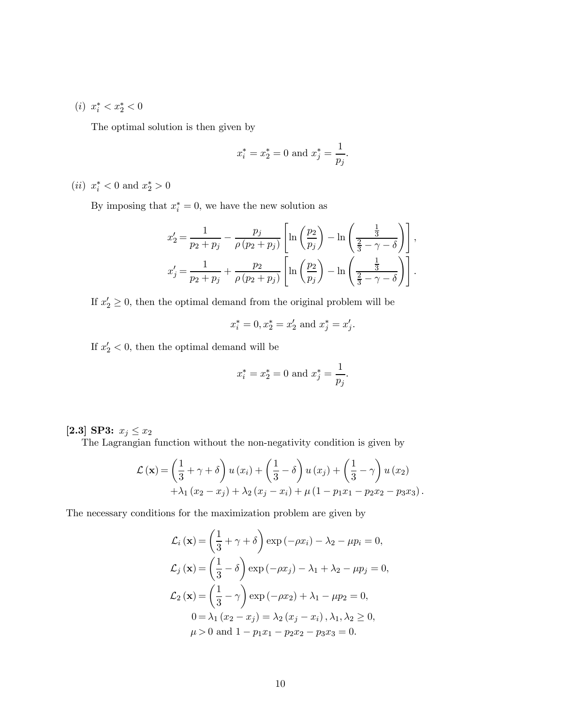(*i*)  $x_i^* < x_2^* < 0$ 

The optimal solution is then given by

$$
x_i^* = x_2^* = 0
$$
 and  $x_j^* = \frac{1}{p_j}$ .

(*ii*)  $x_i^* < 0$  and  $x_2^* > 0$ 

By imposing that  $x_i^* = 0$ , we have the new solution as

$$
x'_2 = \frac{1}{p_2 + p_j} - \frac{p_j}{\rho (p_2 + p_j)} \left[ \ln \left( \frac{p_2}{p_j} \right) - \ln \left( \frac{\frac{1}{3}}{\frac{2}{3} - \gamma - \delta} \right) \right],
$$
  

$$
x'_j = \frac{1}{p_2 + p_j} + \frac{p_2}{\rho (p_2 + p_j)} \left[ \ln \left( \frac{p_2}{p_j} \right) - \ln \left( \frac{\frac{1}{3}}{\frac{2}{3} - \gamma - \delta} \right) \right].
$$

If  $x_2' \geq 0$ , then the optimal demand from the original problem will be

$$
x_i^* = 0, x_2^* = x_2' \text{ and } x_j^* = x_j'.
$$

If  $x'_2 < 0$ , then the optimal demand will be

$$
x_i^* = x_2^* = 0
$$
 and  $x_j^* = \frac{1}{p_j}$ .

[2.3] SP3:  $x_j \le x_2$ 

The Lagrangian function without the non-negativity condition is given by

$$
\mathcal{L}(\mathbf{x}) = \left(\frac{1}{3} + \gamma + \delta\right)u(x_i) + \left(\frac{1}{3} - \delta\right)u(x_j) + \left(\frac{1}{3} - \gamma\right)u(x_2) + \lambda_1(x_2 - x_j) + \lambda_2(x_j - x_i) + \mu(1 - p_1x_1 - p_2x_2 - p_3x_3).
$$

The necessary conditions for the maximization problem are given by

$$
\mathcal{L}_i(\mathbf{x}) = \left(\frac{1}{3} + \gamma + \delta\right) \exp\left(-\rho x_i\right) - \lambda_2 - \mu p_i = 0,
$$
  

$$
\mathcal{L}_j(\mathbf{x}) = \left(\frac{1}{3} - \delta\right) \exp\left(-\rho x_j\right) - \lambda_1 + \lambda_2 - \mu p_j = 0,
$$
  

$$
\mathcal{L}_2(\mathbf{x}) = \left(\frac{1}{3} - \gamma\right) \exp\left(-\rho x_2\right) + \lambda_1 - \mu p_2 = 0,
$$
  

$$
0 = \lambda_1 (x_2 - x_j) = \lambda_2 (x_j - x_i), \lambda_1, \lambda_2 \ge 0,
$$
  

$$
\mu > 0 \text{ and } 1 - p_1 x_1 - p_2 x_2 - p_3 x_3 = 0.
$$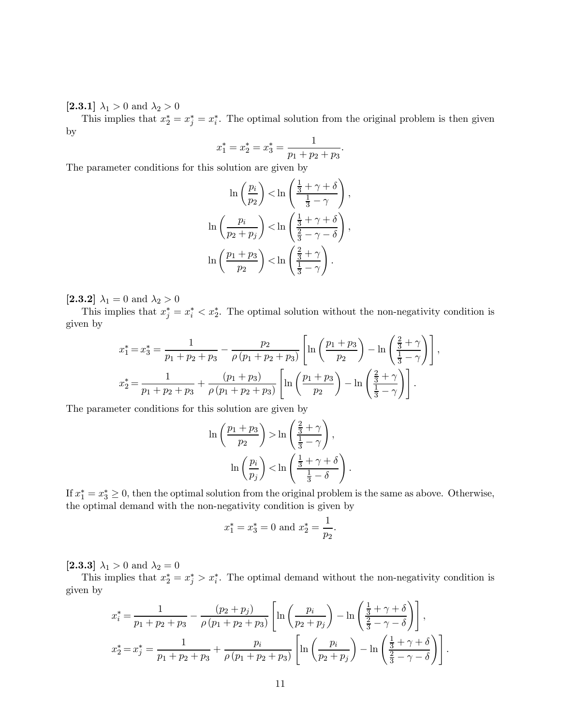[2.3.1]  $\lambda_1 > 0$  and  $\lambda_2 > 0$ 

This implies that  $x_2^* = x_j^* = x_i^*$ . The optimal solution from the original problem is then given by

$$
x_1^* = x_2^* = x_3^* = \frac{1}{p_1 + p_2 + p_3}.
$$

The parameter conditions for this solution are given by

$$
\ln\left(\frac{p_i}{p_2}\right) < \ln\left(\frac{\frac{1}{3} + \gamma + \delta}{\frac{1}{3} - \gamma}\right),
$$
\n
$$
\ln\left(\frac{p_i}{p_2 + p_j}\right) < \ln\left(\frac{\frac{1}{3} + \gamma + \delta}{\frac{2}{3} - \gamma - \delta}\right),
$$
\n
$$
\ln\left(\frac{p_1 + p_3}{p_2}\right) < \ln\left(\frac{\frac{2}{3} + \gamma}{\frac{1}{3} - \gamma}\right).
$$

 $\bm{[2.3.2]}$   $\lambda_1 = 0$  and  $\lambda_2 > 0$ 

This implies that  $x_j^* = x_i^* < x_2^*$ . The optimal solution without the non-negativity condition is given by

$$
x_1^* = x_3^* = \frac{1}{p_1 + p_2 + p_3} - \frac{p_2}{\rho (p_1 + p_2 + p_3)} \left[ \ln \left( \frac{p_1 + p_3}{p_2} \right) - \ln \left( \frac{\frac{2}{3} + \gamma}{\frac{1}{3} - \gamma} \right) \right],
$$
  

$$
x_2^* = \frac{1}{p_1 + p_2 + p_3} + \frac{(p_1 + p_3)}{\rho (p_1 + p_2 + p_3)} \left[ \ln \left( \frac{p_1 + p_3}{p_2} \right) - \ln \left( \frac{\frac{2}{3} + \gamma}{\frac{1}{3} - \gamma} \right) \right].
$$

The parameter conditions for this solution are given by

$$
\ln\left(\frac{p_1+p_3}{p_2}\right) > \ln\left(\frac{\frac{2}{3}+\gamma}{\frac{1}{3}-\gamma}\right),
$$
\n
$$
\ln\left(\frac{p_i}{p_j}\right) < \ln\left(\frac{\frac{1}{3}+\gamma+\delta}{\frac{1}{3}-\delta}\right).
$$

If  $x_1^* = x_3^* \geq 0$ , then the optimal solution from the original problem is the same as above. Otherwise, the optimal demand with the non-negativity condition is given by

$$
x_1^* = x_3^* = 0
$$
 and  $x_2^* = \frac{1}{p_2}$ .

[2.3.3]  $\lambda_1 > 0$  and  $\lambda_2 = 0$ 

This implies that  $x_2^* = x_j^* > x_i^*$ . The optimal demand without the non-negativity condition is given by

$$
x_{i}^{*} = \frac{1}{p_{1} + p_{2} + p_{3}} - \frac{(p_{2} + p_{j})}{\rho(p_{1} + p_{2} + p_{3})} \left[ \ln \left( \frac{p_{i}}{p_{2} + p_{j}} \right) - \ln \left( \frac{\frac{1}{3} + \gamma + \delta}{\frac{2}{3} - \gamma - \delta} \right) \right],
$$
  

$$
x_{2}^{*} = x_{j}^{*} = \frac{1}{p_{1} + p_{2} + p_{3}} + \frac{p_{i}}{\rho(p_{1} + p_{2} + p_{3})} \left[ \ln \left( \frac{p_{i}}{p_{2} + p_{j}} \right) - \ln \left( \frac{\frac{1}{3} + \gamma + \delta}{\frac{2}{3} - \gamma - \delta} \right) \right].
$$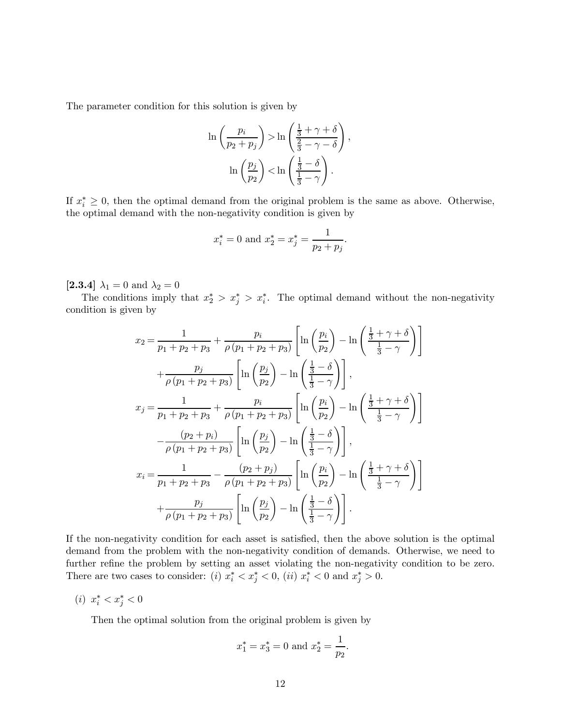The parameter condition for this solution is given by

$$
\ln\left(\frac{p_i}{p_2 + p_j}\right) > \ln\left(\frac{\frac{1}{3} + \gamma + \delta}{\frac{2}{3} - \gamma - \delta}\right),
$$

$$
\ln\left(\frac{p_j}{p_2}\right) < \ln\left(\frac{\frac{1}{3} - \delta}{\frac{1}{3} - \gamma}\right).
$$

If  $x_i^* \geq 0$ , then the optimal demand from the original problem is the same as above. Otherwise, the optimal demand with the non-negativity condition is given by

$$
x_i^* = 0
$$
 and  $x_2^* = x_j^* = \frac{1}{p_2 + p_j}$ .

[2.3.4]  $\lambda_1 = 0$  and  $\lambda_2 = 0$ 

The conditions imply that  $x_2^* > x_i^*$ . The optimal demand without the non-negativity condition is given by

$$
x_2 = \frac{1}{p_1 + p_2 + p_3} + \frac{p_i}{\rho(p_1 + p_2 + p_3)} \left[ \ln \left( \frac{p_i}{p_2} \right) - \ln \left( \frac{\frac{1}{3} + \gamma + \delta}{\frac{1}{3} - \gamma} \right) \right]
$$
  
+ 
$$
\frac{p_j}{\rho(p_1 + p_2 + p_3)} \left[ \ln \left( \frac{p_j}{p_2} \right) - \ln \left( \frac{\frac{1}{3} - \delta}{\frac{1}{3} - \gamma} \right) \right],
$$
  

$$
x_j = \frac{1}{p_1 + p_2 + p_3} + \frac{p_i}{\rho(p_1 + p_2 + p_3)} \left[ \ln \left( \frac{p_i}{p_2} \right) - \ln \left( \frac{\frac{1}{3} + \gamma + \delta}{\frac{1}{3} - \gamma} \right) \right]
$$
  

$$
-\frac{(p_2 + p_i)}{\rho(p_1 + p_2 + p_3)} \left[ \ln \left( \frac{p_j}{p_2} \right) - \ln \left( \frac{\frac{1}{3} - \delta}{\frac{1}{3} - \gamma} \right) \right],
$$
  

$$
x_i = \frac{1}{p_1 + p_2 + p_3} - \frac{(p_2 + p_j)}{\rho(p_1 + p_2 + p_3)} \left[ \ln \left( \frac{p_i}{p_2} \right) - \ln \left( \frac{\frac{1}{3} + \gamma + \delta}{\frac{1}{3} - \gamma} \right) \right]
$$
  
+ 
$$
\frac{p_j}{\rho(p_1 + p_2 + p_3)} \left[ \ln \left( \frac{p_j}{p_2} \right) - \ln \left( \frac{\frac{1}{3} - \delta}{\frac{1}{3} - \gamma} \right) \right].
$$

If the non-negativity condition for each asset is satisfied, then the above solution is the optimal demand from the problem with the non-negativity condition of demands. Otherwise, we need to further refine the problem by setting an asset violating the non-negativity condition to be zero. There are two cases to consider: (i)  $x_i^* < x_j^* < 0$ , (ii)  $x_i^* < 0$  and  $x_j^* > 0$ .

(*i*)  $x_i^* < x_j^* < 0$ 

Then the optimal solution from the original problem is given by

$$
x_1^* = x_3^* = 0
$$
 and  $x_2^* = \frac{1}{p_2}$ .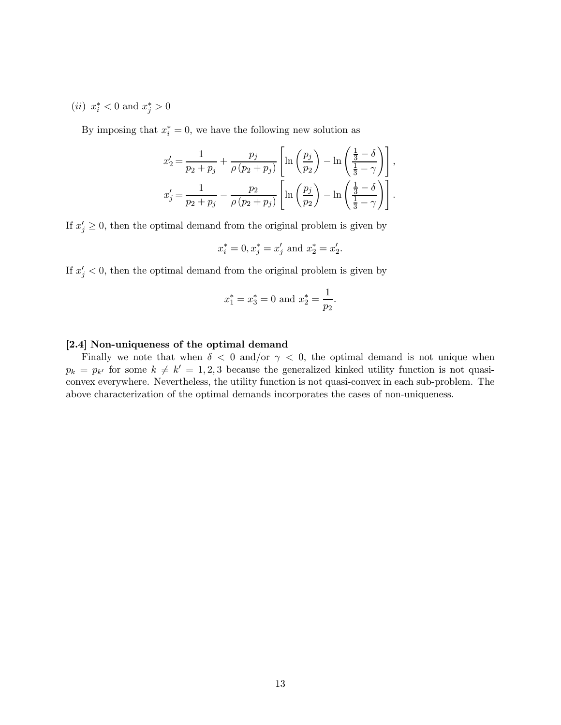(*ii*)  $x_i^* < 0$  and  $x_j^* > 0$ 

By imposing that  $x_i^* = 0$ , we have the following new solution as

$$
x'_2 = \frac{1}{p_2 + p_j} + \frac{p_j}{\rho (p_2 + p_j)} \left[ \ln \left( \frac{p_j}{p_2} \right) - \ln \left( \frac{\frac{1}{3} - \delta}{\frac{1}{3} - \gamma} \right) \right],
$$
  

$$
x'_j = \frac{1}{p_2 + p_j} - \frac{p_2}{\rho (p_2 + p_j)} \left[ \ln \left( \frac{p_j}{p_2} \right) - \ln \left( \frac{\frac{1}{3} - \delta}{\frac{1}{3} - \gamma} \right) \right].
$$

If  $x'_j \geq 0$ , then the optimal demand from the original problem is given by

$$
x_i^* = 0, x_j^* = x_j'
$$
 and  $x_2^* = x_2'$ .

If  $x'_j < 0$ , then the optimal demand from the original problem is given by

$$
x_1^* = x_3^* = 0
$$
 and  $x_2^* = \frac{1}{p_2}$ .

#### [2.4] Non-uniqueness of the optimal demand

Finally we note that when  $\delta$  < 0 and/or  $\gamma$  < 0, the optimal demand is not unique when  $p_k = p_{k'}$  for some  $k \neq k' = 1, 2, 3$  because the generalized kinked utility function is not quasiconvex everywhere. Nevertheless, the utility function is not quasi-convex in each sub-problem. The above characterization of the optimal demands incorporates the cases of non-uniqueness.